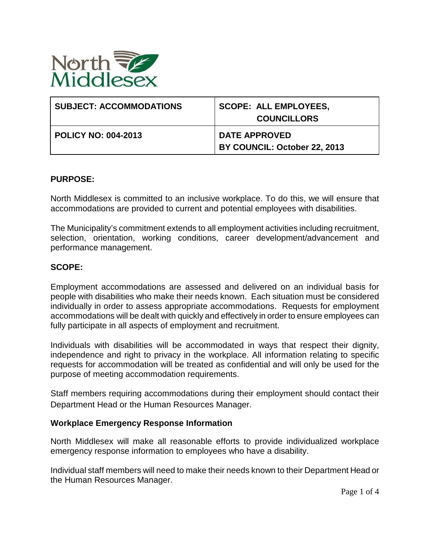

| <b>SUBJECT: ACCOMMODATIONS</b> | <b>SCOPE: ALL EMPLOYEES,</b><br><b>COUNCILLORS</b>   |
|--------------------------------|------------------------------------------------------|
| <b>POLICY NO: 004-2013</b>     | <b>DATE APPROVED</b><br>BY COUNCIL: October 22, 2013 |

## **PURPOSE:**

North Middlesex is committed to an inclusive workplace. To do this, we will ensure that accommodations are provided to current and potential employees with disabilities.

The Municipality's commitment extends to all employment activities including recruitment, selection, orientation, working conditions, career development/advancement and performance management.

## **SCOPE:**

Employment accommodations are assessed and delivered on an individual basis for people with disabilities who make their needs known. Each situation must be considered individually in order to assess appropriate accommodations. Requests for employment accommodations will be dealt with quickly and effectively in order to ensure employees can fully participate in all aspects of employment and recruitment.

Individuals with disabilities will be accommodated in ways that respect their dignity, independence and right to privacy in the workplace. All information relating to specific requests for accommodation will be treated as confidential and will only be used for the purpose of meeting accommodation requirements.

Staff members requiring accommodations during their employment should contact their Department Head or the Human Resources Manager.

#### **Workplace Emergency Response Information**

North Middlesex will make all reasonable efforts to provide individualized workplace emergency response information to employees who have a disability.

Individual staff members will need to make their needs known to their Department Head or the Human Resources Manager.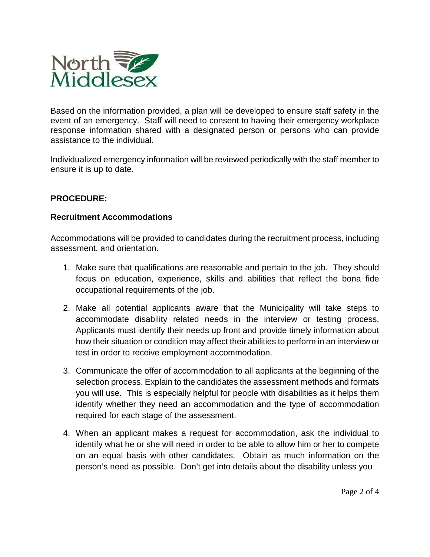

Based on the information provided, a plan will be developed to ensure staff safety in the event of an emergency. Staff will need to consent to having their emergency workplace response information shared with a designated person or persons who can provide assistance to the individual.

Individualized emergency information will be reviewed periodically with the staff member to ensure it is up to date.

# **PROCEDURE:**

## **Recruitment Accommodations**

Accommodations will be provided to candidates during the recruitment process, including assessment, and orientation.

- 1. Make sure that qualifications are reasonable and pertain to the job. They should focus on education, experience, skills and abilities that reflect the bona fide occupational requirements of the job.
- 2. Make all potential applicants aware that the Municipality will take steps to accommodate disability related needs in the interview or testing process. Applicants must identify their needs up front and provide timely information about how their situation or condition may affect their abilities to perform in an interview or test in order to receive employment accommodation.
- 3. Communicate the offer of accommodation to all applicants at the beginning of the selection process. Explain to the candidates the assessment methods and formats you will use. This is especially helpful for people with disabilities as it helps them identify whether they need an accommodation and the type of accommodation required for each stage of the assessment.
- 4. When an applicant makes a request for accommodation, ask the individual to identify what he or she will need in order to be able to allow him or her to compete on an equal basis with other candidates. Obtain as much information on the person's need as possible. Don't get into details about the disability unless you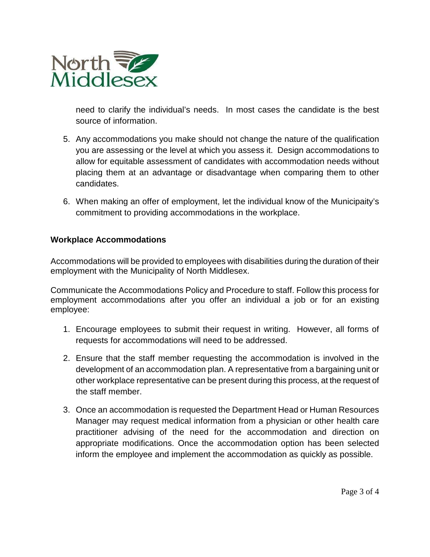

need to clarify the individual's needs. In most cases the candidate is the best source of information.

- 5. Any accommodations you make should not change the nature of the qualification you are assessing or the level at which you assess it. Design accommodations to allow for equitable assessment of candidates with accommodation needs without placing them at an advantage or disadvantage when comparing them to other candidates.
- 6. When making an offer of employment, let the individual know of the Municipaity's commitment to providing accommodations in the workplace.

# **Workplace Accommodations**

Accommodations will be provided to employees with disabilities during the duration of their employment with the Municipality of North Middlesex.

Communicate the Accommodations Policy and Procedure to staff. Follow this process for employment accommodations after you offer an individual a job or for an existing employee:

- 1. Encourage employees to submit their request in writing. However, all forms of requests for accommodations will need to be addressed.
- 2. Ensure that the staff member requesting the accommodation is involved in the development of an accommodation plan. A representative from a bargaining unit or other workplace representative can be present during this process, at the request of the staff member.
- 3. Once an accommodation is requested the Department Head or Human Resources Manager may request medical information from a physician or other health care practitioner advising of the need for the accommodation and direction on appropriate modifications. Once the accommodation option has been selected inform the employee and implement the accommodation as quickly as possible.